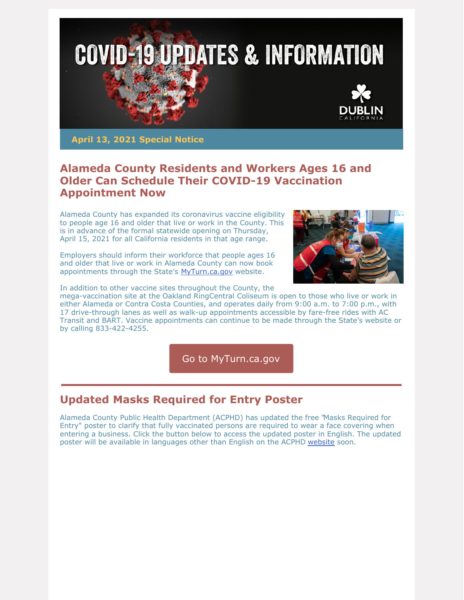

**April 13, 2021 Special Notice**

## **Alameda County Residents and Workers Ages 16 and Older Can Schedule Their COVID-19 Vaccination Appointment Now**

Alameda County has expanded its coronavirus vaccine eligibility to people age 16 and older that live or work in the County. This is in advance of the formal statewide opening on Thursday, April 15, 2021 for all California residents in that age range.

Employers should inform their workforce that people ages 16 and older that live or work in Alameda County can now book appointments through the State's [MyTurn.ca.gov](https://myturn.ca.gov/) website.



In addition to other vaccine sites throughout the County, the

mega-vaccination site at the Oakland RingCentral Coliseum is open to those who live or work in either Alameda or Contra Costa Counties, and operates daily from 9:00 a.m. to 7:00 p.m., with 17 drive-through lanes as well as walk-up appointments accessible by fare-free rides with AC Transit and BART. Vaccine appointments can continue to be made through the State's website or by calling 833-422-4255.

Go to [MyTurn.ca.gov](http://myturn.ca.gov)

# **Updated Masks [Required](https://covid-19.acgov.org/covid19-assets/docs/recovery/mask-required-for-entry-2021.04.01.pdf) for Entry Poster**

Alameda County Public Health [Department](https://covid-19.acgov.org/covid19-assets/docs/recovery/mask-required-for-entry-2021.04.01.pdf) (ACPHD) has updated the free "Masks Required for Entry" poster to clarify that fully vaccinated persons are required to wear a face covering when entering a business. Click the button below to access the updated poster in English. The updated poster will be available in languages other than English on the ACPHD [website](https://covid-19.acgov.org/outreach-materials.page?) soon.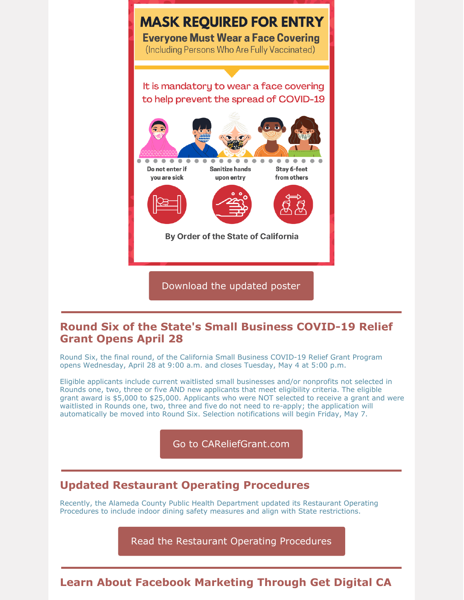

#### **Round Six of the State's Small Business COVID-19 Relief Grant Opens April 28**

Round Six, the final round, of the California Small Business COVID-19 Relief Grant Program opens Wednesday, April 28 at 9:00 a.m. and closes Tuesday, May 4 at 5:00 p.m.

Eligible applicants include current waitlisted small businesses and/or nonprofits not selected in Rounds one, two, three or five AND new applicants that meet eligibility criteria. The eligible grant award is \$5,000 to \$25,000. Applicants who were NOT selected to receive a grant and were waitlisted in Rounds one, two, three and five do not need to re-apply; the application will automatically be moved into Round Six. Selection notifications will begin Friday, May 7.

Go to [CAReliefGrant.com](http://www.careliefgrant.com)

## **Updated Restaurant Operating Procedures**

Recently, the Alameda County Public Health Department updated its Restaurant Operating Procedures to include indoor dining safety measures and align with State restrictions.

Read the Restaurant Operating [Procedures](https://deh.acgov.org/deh-assets/docs/AlcoRestaurantOperatingProcedures.pdf)

## **Learn About Facebook Marketing Through Get Digital CA**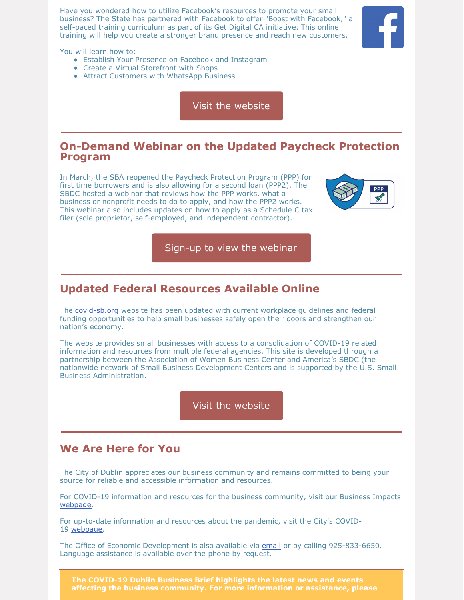Have you wondered how to utilize Facebook's resources to promote your small business? The State has partnered with Facebook to offer "Boost with Facebook," a self-paced training curriculum as part of its Get Digital CA initiative. This online training will help you create a stronger brand presence and reach new customers.



You will learn how to:

- Establish Your Presence on Facebook and Instagram
- Create a Virtual Storefront with Shops
- Attract Customers with WhatsApp Business

Visit the [website](https://business.ca.gov/advantages/small-business-innovation-and-entrepreneurship/get-digital-ca/)

#### **On-Demand Webinar on the Updated Paycheck Protection Program**

In March, the SBA reopened the Paycheck Protection Program (PPP) for first time borrowers and is also allowing for a second loan (PPP2). The SBDC hosted a webinar that reviews how the PPP works, what a business or nonprofit needs to do to apply, and how the PPP2 works. This webinar also includes updates on how to apply as a Schedule C tax filer (sole proprietor, self-employed, and independent contractor).



Sign-up to view the [webinar](https://click.mlsend.com/link/c/YT0xNjYwMzQ5MjAxMzQwNDM4MzcwJmM9ZDhqNyZlPTIwOTIwMTE3JmI9NTcwMTg0Nzc3JmQ9cjdiNGIxeA==.E8LNiJgm7XRn_1664Y1WnfBU8fIoyJg6VBGoEVRKajI)

## **Updated Federal Resources Available Online**

The [covid-sb.org](https://covid-sb.org/) website has been updated with current workplace quidelines and federal funding opportunities to help small businesses safely open their doors and strengthen our nation's economy.

The website provides small businesses with access to a consolidation of COVID-19 related information and resources from multiple federal agencies. This site is developed through a partnership between the Association of Women Business Center and America's SBDC (the nationwide network of Small Business Development Centers and is supported by the U.S. Small Business Administration.

Visit the [website](https://covid-sb.org/)

#### **We Are Here for You**

The City of Dublin appreciates our business community and remains committed to being your source for reliable and accessible information and resources.

For COVID-19 information and resources for the business community, visit our Business Impacts [webpage](https://dublin.ca.gov/2177/COVID-19-Business-Impacts).

For up-to-date information and resources about the pandemic, visit the City's COVID-19 [webpage](https://www.dublin.ca.gov/coronavirus).

The Office of Economic Development is also available via [email](mailto:economic.development@dublin.ca.gov) or by calling 925-833-6650. Language assistance is available over the phone by request.

**The COVID-19 Dublin Business Brief highlights the latest news and events affecting the business community. For more information or assistance, please**